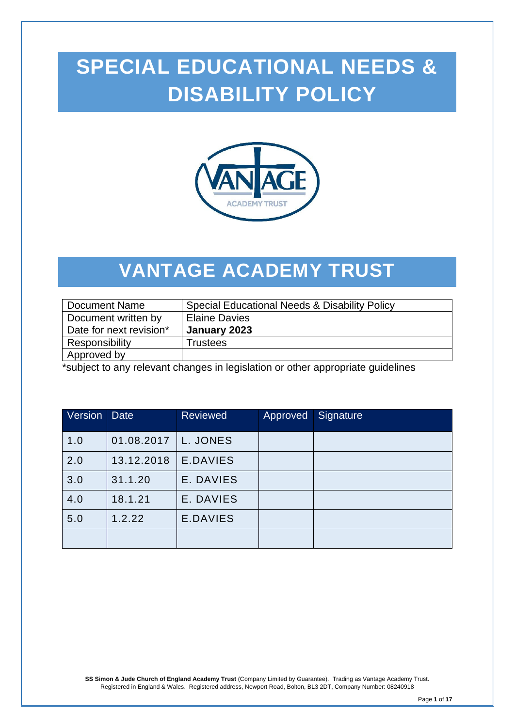# **SPECIAL EDUCATIONAL NEEDS & DISABILITY POLICY**



## **VANTAGE ACADEMY TRUST**

| <b>Document Name</b>                                                            | Special Educational Needs & Disability Policy |  |  |  |
|---------------------------------------------------------------------------------|-----------------------------------------------|--|--|--|
| Document written by                                                             | <b>Elaine Davies</b>                          |  |  |  |
| Date for next revision*                                                         | January 2023                                  |  |  |  |
| Responsibility                                                                  | <b>Trustees</b>                               |  |  |  |
| Approved by                                                                     |                                               |  |  |  |
| *cubiect to any relevant changes in legislation or other appropriate quidolines |                                               |  |  |  |

\*subject to any relevant changes in legislation or other appropriate guidelines

| Version | <b>Date</b> | <b>Reviewed</b> | Approved | Signature |
|---------|-------------|-----------------|----------|-----------|
| 1.0     | 01.08.2017  | L. JONES        |          |           |
| 2.0     | 13.12.2018  | E.DAVIES        |          |           |
| 3.0     | 31.1.20     | E. DAVIES       |          |           |
| 4.0     | 18.1.21     | E. DAVIES       |          |           |
| 5.0     | 1.2.22      | E.DAVIES        |          |           |
|         |             |                 |          |           |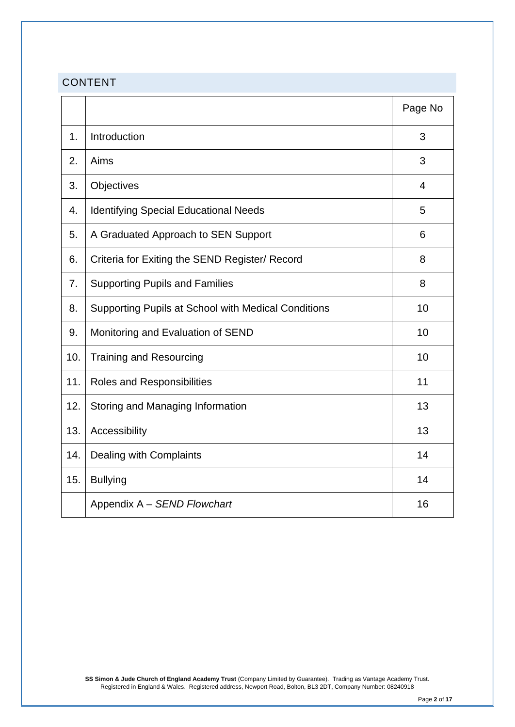## CONTENT

|     |                                                     | Page No        |
|-----|-----------------------------------------------------|----------------|
| 1.  | Introduction                                        | 3              |
| 2.  | Aims                                                | 3              |
| 3.  | Objectives                                          | $\overline{4}$ |
| 4.  | <b>Identifying Special Educational Needs</b>        | 5              |
| 5.  | A Graduated Approach to SEN Support                 | 6              |
| 6.  | Criteria for Exiting the SEND Register/ Record      | 8              |
| 7.  | <b>Supporting Pupils and Families</b>               | 8              |
| 8.  | Supporting Pupils at School with Medical Conditions | 10             |
| 9.  | Monitoring and Evaluation of SEND                   | 10             |
| 10. | <b>Training and Resourcing</b>                      | 10             |
| 11. | Roles and Responsibilities                          | 11             |
| 12. | Storing and Managing Information                    | 13             |
| 13. | Accessibility                                       | 13             |
| 14. | Dealing with Complaints                             | 14             |
| 15. | <b>Bullying</b>                                     | 14             |
|     | Appendix A - SEND Flowchart                         | 16             |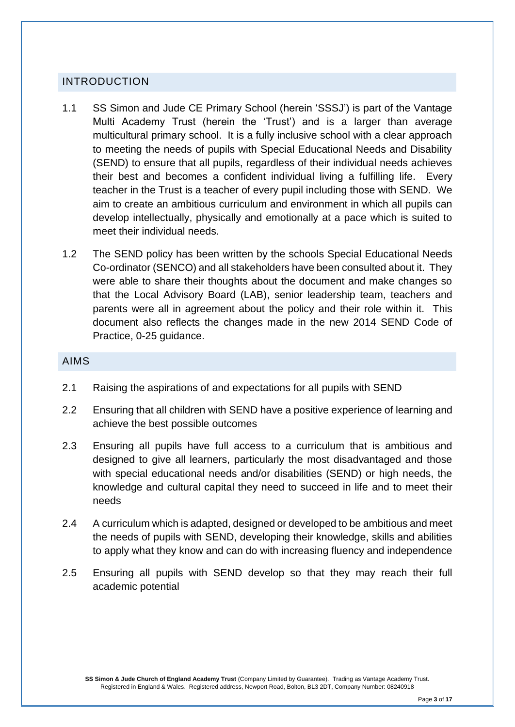#### INTRODUCTION

- 1.1 SS Simon and Jude CE Primary School (herein 'SSSJ') is part of the Vantage Multi Academy Trust (herein the 'Trust') and is a larger than average multicultural primary school. It is a fully inclusive school with a clear approach to meeting the needs of pupils with Special Educational Needs and Disability (SEND) to ensure that all pupils, regardless of their individual needs achieves their best and becomes a confident individual living a fulfilling life. Every teacher in the Trust is a teacher of every pupil including those with SEND. We aim to create an ambitious curriculum and environment in which all pupils can develop intellectually, physically and emotionally at a pace which is suited to meet their individual needs.
- 1.2 The SEND policy has been written by the schools Special Educational Needs Co-ordinator (SENCO) and all stakeholders have been consulted about it. They were able to share their thoughts about the document and make changes so that the Local Advisory Board (LAB), senior leadership team, teachers and parents were all in agreement about the policy and their role within it. This document also reflects the changes made in the new 2014 SEND Code of Practice, 0-25 guidance.

#### AIMS

- 2.1 Raising the aspirations of and expectations for all pupils with SEND
- 2.2 Ensuring that all children with SEND have a positive experience of learning and achieve the best possible outcomes
- 2.3 Ensuring all pupils have full access to a curriculum that is ambitious and designed to give all learners, particularly the most disadvantaged and those with special educational needs and/or disabilities (SEND) or high needs, the knowledge and cultural capital they need to succeed in life and to meet their needs
- 2.4 A curriculum which is adapted, designed or developed to be ambitious and meet the needs of pupils with SEND, developing their knowledge, skills and abilities to apply what they know and can do with increasing fluency and independence
- 2.5 Ensuring all pupils with SEND develop so that they may reach their full academic potential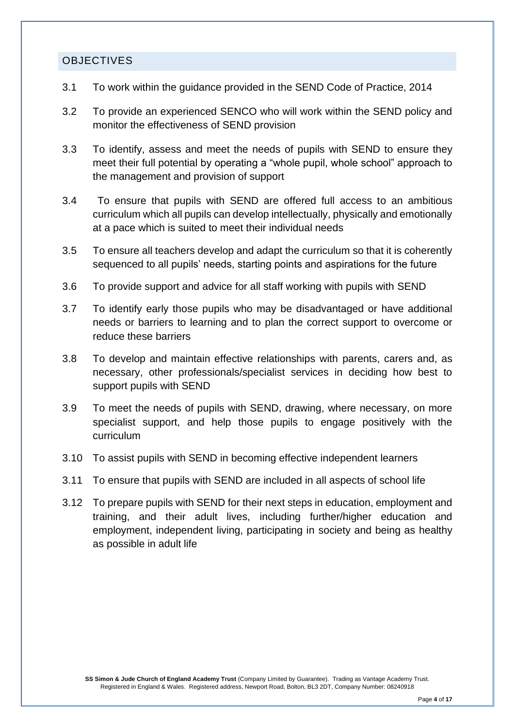#### **OBJECTIVES**

- 3.1 To work within the guidance provided in the SEND Code of Practice, 2014
- 3.2 To provide an experienced SENCO who will work within the SEND policy and monitor the effectiveness of SEND provision
- 3.3 To identify, assess and meet the needs of pupils with SEND to ensure they meet their full potential by operating a "whole pupil, whole school" approach to the management and provision of support
- 3.4 To ensure that pupils with SEND are offered full access to an ambitious curriculum which all pupils can develop intellectually, physically and emotionally at a pace which is suited to meet their individual needs
- 3.5 To ensure all teachers develop and adapt the curriculum so that it is coherently sequenced to all pupils' needs, starting points and aspirations for the future
- 3.6 To provide support and advice for all staff working with pupils with SEND
- 3.7 To identify early those pupils who may be disadvantaged or have additional needs or barriers to learning and to plan the correct support to overcome or reduce these barriers
- 3.8 To develop and maintain effective relationships with parents, carers and, as necessary, other professionals/specialist services in deciding how best to support pupils with SEND
- 3.9 To meet the needs of pupils with SEND, drawing, where necessary, on more specialist support, and help those pupils to engage positively with the curriculum
- 3.10 To assist pupils with SEND in becoming effective independent learners
- 3.11 To ensure that pupils with SEND are included in all aspects of school life
- 3.12 To prepare pupils with SEND for their next steps in education, employment and training, and their adult lives, including further/higher education and employment, independent living, participating in society and being as healthy as possible in adult life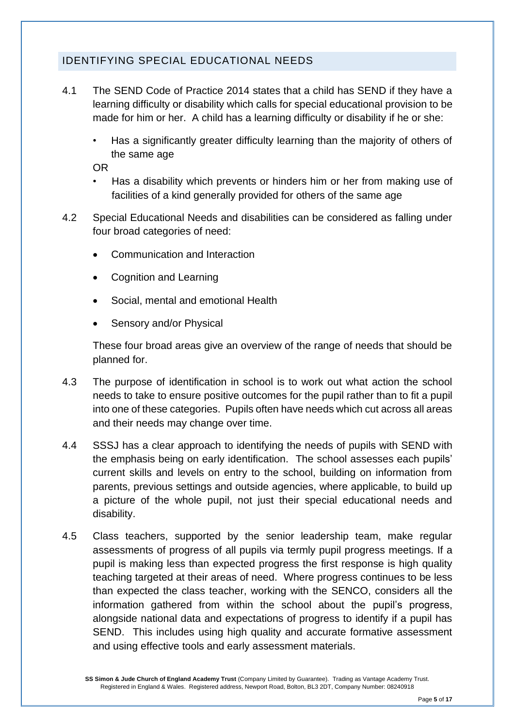## IDENTIFYING SPECIAL EDUCATIONAL NEEDS

- 4.1 The SEND Code of Practice 2014 states that a child has SEND if they have a learning difficulty or disability which calls for special educational provision to be made for him or her. A child has a learning difficulty or disability if he or she:
	- Has a significantly greater difficulty learning than the majority of others of the same age

OR

- Has a disability which prevents or hinders him or her from making use of facilities of a kind generally provided for others of the same age
- 4.2 Special Educational Needs and disabilities can be considered as falling under four broad categories of need:
	- Communication and Interaction
	- Cognition and Learning
	- Social, mental and emotional Health
	- Sensory and/or Physical

These four broad areas give an overview of the range of needs that should be planned for.

- 4.3 The purpose of identification in school is to work out what action the school needs to take to ensure positive outcomes for the pupil rather than to fit a pupil into one of these categories. Pupils often have needs which cut across all areas and their needs may change over time.
- 4.4 SSSJ has a clear approach to identifying the needs of pupils with SEND with the emphasis being on early identification. The school assesses each pupils' current skills and levels on entry to the school, building on information from parents, previous settings and outside agencies, where applicable, to build up a picture of the whole pupil, not just their special educational needs and disability.
- 4.5 Class teachers, supported by the senior leadership team, make regular assessments of progress of all pupils via termly pupil progress meetings. If a pupil is making less than expected progress the first response is high quality teaching targeted at their areas of need. Where progress continues to be less than expected the class teacher, working with the SENCO, considers all the information gathered from within the school about the pupil's progress, alongside national data and expectations of progress to identify if a pupil has SEND. This includes using high quality and accurate formative assessment and using effective tools and early assessment materials.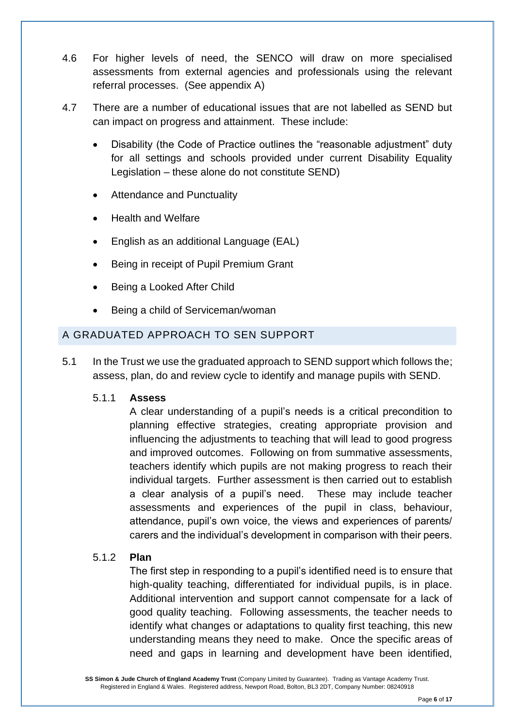- 4.6 For higher levels of need, the SENCO will draw on more specialised assessments from external agencies and professionals using the relevant referral processes. (See appendix A)
- 4.7 There are a number of educational issues that are not labelled as SEND but can impact on progress and attainment. These include:
	- Disability (the Code of Practice outlines the "reasonable adjustment" duty for all settings and schools provided under current Disability Equality Legislation – these alone do not constitute SEND)
	- Attendance and Punctuality
	- Health and Welfare
	- English as an additional Language (EAL)
	- Being in receipt of Pupil Premium Grant
	- Being a Looked After Child
	- Being a child of Serviceman/woman

## A GRADUATED APPROACH TO SEN SUPPORT

5.1 In the Trust we use the graduated approach to SEND support which follows the; assess, plan, do and review cycle to identify and manage pupils with SEND.

#### 5.1.1 **Assess**

A clear understanding of a pupil's needs is a critical precondition to planning effective strategies, creating appropriate provision and influencing the adjustments to teaching that will lead to good progress and improved outcomes. Following on from summative assessments, teachers identify which pupils are not making progress to reach their individual targets. Further assessment is then carried out to establish a clear analysis of a pupil's need. These may include teacher assessments and experiences of the pupil in class, behaviour, attendance, pupil's own voice, the views and experiences of parents/ carers and the individual's development in comparison with their peers.

#### 5.1.2 **Plan**

The first step in responding to a pupil's identified need is to ensure that high-quality teaching, differentiated for individual pupils, is in place. Additional intervention and support cannot compensate for a lack of good quality teaching. Following assessments, the teacher needs to identify what changes or adaptations to quality first teaching, this new understanding means they need to make. Once the specific areas of need and gaps in learning and development have been identified,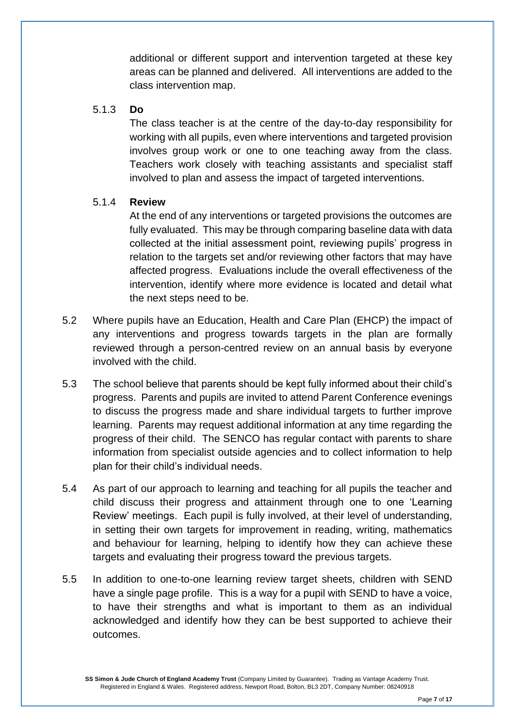additional or different support and intervention targeted at these key areas can be planned and delivered. All interventions are added to the class intervention map.

#### 5.1.3 **Do**

The class teacher is at the centre of the day-to-day responsibility for working with all pupils, even where interventions and targeted provision involves group work or one to one teaching away from the class. Teachers work closely with teaching assistants and specialist staff involved to plan and assess the impact of targeted interventions.

#### 5.1.4 **Review**

At the end of any interventions or targeted provisions the outcomes are fully evaluated. This may be through comparing baseline data with data collected at the initial assessment point, reviewing pupils' progress in relation to the targets set and/or reviewing other factors that may have affected progress. Evaluations include the overall effectiveness of the intervention, identify where more evidence is located and detail what the next steps need to be.

- 5.2 Where pupils have an Education, Health and Care Plan (EHCP) the impact of any interventions and progress towards targets in the plan are formally reviewed through a person-centred review on an annual basis by everyone involved with the child.
- 5.3 The school believe that parents should be kept fully informed about their child's progress. Parents and pupils are invited to attend Parent Conference evenings to discuss the progress made and share individual targets to further improve learning. Parents may request additional information at any time regarding the progress of their child. The SENCO has regular contact with parents to share information from specialist outside agencies and to collect information to help plan for their child's individual needs.
- 5.4 As part of our approach to learning and teaching for all pupils the teacher and child discuss their progress and attainment through one to one 'Learning Review' meetings. Each pupil is fully involved, at their level of understanding, in setting their own targets for improvement in reading, writing, mathematics and behaviour for learning, helping to identify how they can achieve these targets and evaluating their progress toward the previous targets.
- 5.5 In addition to one-to-one learning review target sheets, children with SEND have a single page profile. This is a way for a pupil with SEND to have a voice, to have their strengths and what is important to them as an individual acknowledged and identify how they can be best supported to achieve their outcomes.

**SS Simon & Jude Church of England Academy Trust** (Company Limited by Guarantee). Trading as Vantage Academy Trust. Registered in England & Wales. Registered address, Newport Road, Bolton, BL3 2DT, Company Number: 08240918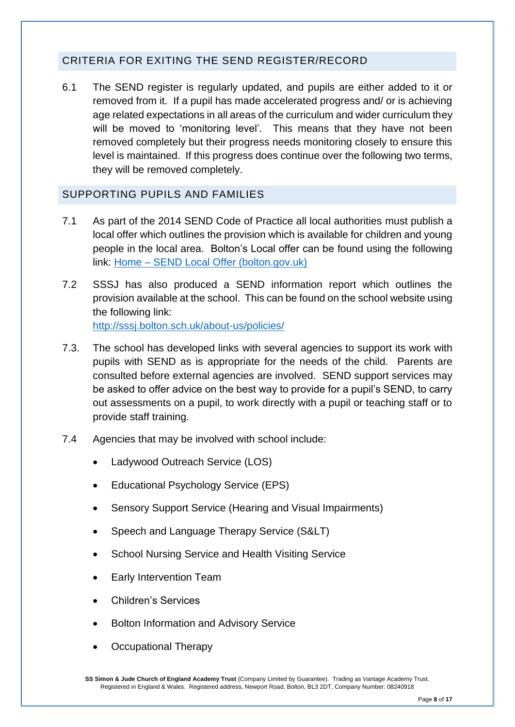## CRITERIA FOR EXITING THE SEND REGISTER/RECORD

6.1 The SEND register is regularly updated, and pupils are either added to it or removed from it. If a pupil has made accelerated progress and/ or is achieving age related expectations in all areas of the curriculum and wider curriculum they will be moved to 'monitoring level'. This means that they have not been removed completely but their progress needs monitoring closely to ensure this level is maintained. If this progress does continue over the following two terms, they will be removed completely.

#### SUPPORTING PUPILS AND FAMILIES

- 7.1 As part of the 2014 SEND Code of Practice all local authorities must publish a local offer which outlines the provision which is available for children and young people in the local area. Bolton's Local offer can be found using the following link: Home – SEND Local [Offer \(bolton.gov.uk\)](https://www.bolton.gov.uk/sendlocaloffer/)
- 7.2 SSSJ has also produced a SEND information report which outlines the provision available at the school. This can be found on the school website using the following link: <http://sssj.bolton.sch.uk/about-us/policies/>
- 7.3. The school has developed links with several agencies to support its work with pupils with SEND as is appropriate for the needs of the child. Parents are consulted before external agencies are involved. SEND support services may be asked to offer advice on the best way to provide for a pupil's SEND, to carry out assessments on a pupil, to work directly with a pupil or teaching staff or to provide staff training.
- 7.4 Agencies that may be involved with school include:
	- Ladywood Outreach Service (LOS)
	- Educational Psychology Service (EPS)
	- Sensory Support Service (Hearing and Visual Impairments)
	- Speech and Language Therapy Service (S&LT)
	- School Nursing Service and Health Visiting Service
	- Early Intervention Team
	- Children's Services
	- Bolton Information and Advisory Service
	- Occupational Therapy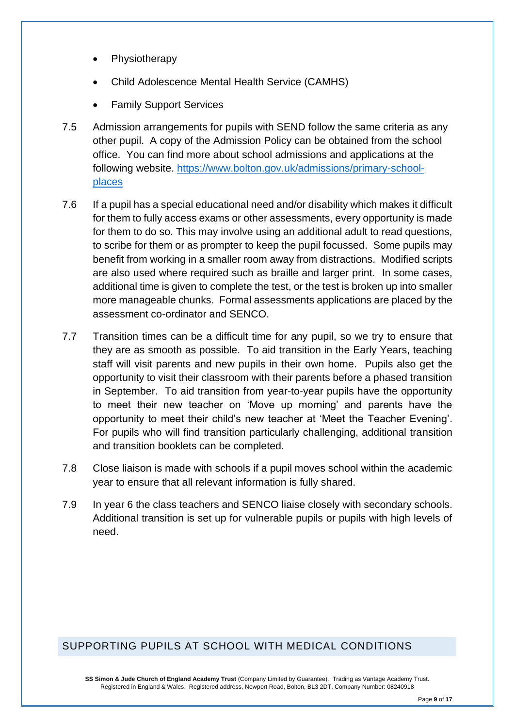- **Physiotherapy**
- Child Adolescence Mental Health Service (CAMHS)
- Family Support Services
- 7.5 Admission arrangements for pupils with SEND follow the same criteria as any other pupil. A copy of the Admission Policy can be obtained from the school office. You can find more about school admissions and applications at the following website. [https://www.bolton.gov.uk/admissions/primary-school](https://www.bolton.gov.uk/admissions/primary-school-places)[places](https://www.bolton.gov.uk/admissions/primary-school-places)
- 7.6 If a pupil has a special educational need and/or disability which makes it difficult for them to fully access exams or other assessments, every opportunity is made for them to do so. This may involve using an additional adult to read questions, to scribe for them or as prompter to keep the pupil focussed. Some pupils may benefit from working in a smaller room away from distractions. Modified scripts are also used where required such as braille and larger print. In some cases, additional time is given to complete the test, or the test is broken up into smaller more manageable chunks. Formal assessments applications are placed by the assessment co-ordinator and SENCO.
- 7.7 Transition times can be a difficult time for any pupil, so we try to ensure that they are as smooth as possible. To aid transition in the Early Years, teaching staff will visit parents and new pupils in their own home. Pupils also get the opportunity to visit their classroom with their parents before a phased transition in September. To aid transition from year-to-year pupils have the opportunity to meet their new teacher on 'Move up morning' and parents have the opportunity to meet their child's new teacher at 'Meet the Teacher Evening'. For pupils who will find transition particularly challenging, additional transition and transition booklets can be completed.
- 7.8 Close liaison is made with schools if a pupil moves school within the academic year to ensure that all relevant information is fully shared.
- 7.9 In year 6 the class teachers and SENCO liaise closely with secondary schools. Additional transition is set up for vulnerable pupils or pupils with high levels of need.

## SUPPORTING PUPILS AT SCHOOL WITH MEDICAL CONDITIONS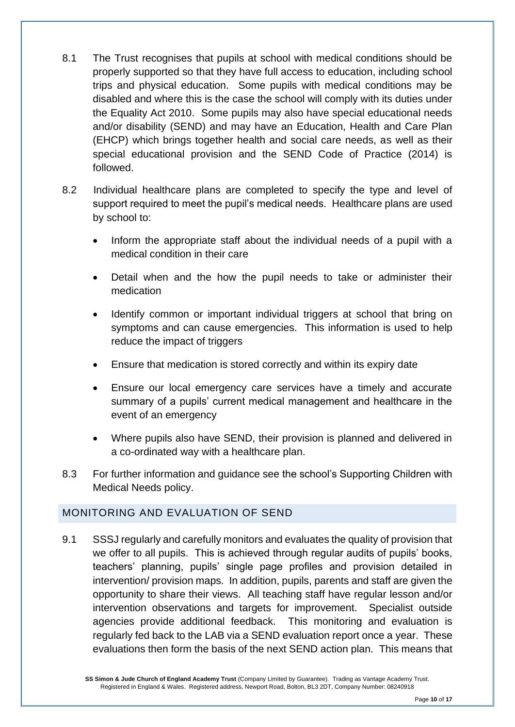- 8.1 The Trust recognises that pupils at school with medical conditions should be properly supported so that they have full access to education, including school trips and physical education. Some pupils with medical conditions may be disabled and where this is the case the school will comply with its duties under the Equality Act 2010. Some pupils may also have special educational needs and/or disability (SEND) and may have an Education, Health and Care Plan (EHCP) which brings together health and social care needs, as well as their special educational provision and the SEND Code of Practice (2014) is followed.
- 8.2 Individual healthcare plans are completed to specify the type and level of support required to meet the pupil's medical needs. Healthcare plans are used by school to:
	- Inform the appropriate staff about the individual needs of a pupil with a medical condition in their care
	- Detail when and the how the pupil needs to take or administer their medication
	- Identify common or important individual triggers at school that bring on symptoms and can cause emergencies. This information is used to help reduce the impact of triggers
	- Ensure that medication is stored correctly and within its expiry date
	- Ensure our local emergency care services have a timely and accurate summary of a pupils' current medical management and healthcare in the event of an emergency
	- Where pupils also have SEND, their provision is planned and delivered in a co-ordinated way with a healthcare plan.
- 8.3 For further information and guidance see the school's Supporting Children with Medical Needs policy.

## MONITORING AND EVALUATION OF SEND

9.1 SSSJ regularly and carefully monitors and evaluates the quality of provision that we offer to all pupils. This is achieved through regular audits of pupils' books, teachers' planning, pupils' single page profiles and provision detailed in intervention/ provision maps. In addition, pupils, parents and staff are given the opportunity to share their views. All teaching staff have regular lesson and/or intervention observations and targets for improvement. Specialist outside agencies provide additional feedback. This monitoring and evaluation is regularly fed back to the LAB via a SEND evaluation report once a year. These evaluations then form the basis of the next SEND action plan. This means that

**SS Simon & Jude Church of England Academy Trust** (Company Limited by Guarantee). Trading as Vantage Academy Trust. Registered in England & Wales. Registered address, Newport Road, Bolton, BL3 2DT, Company Number: 08240918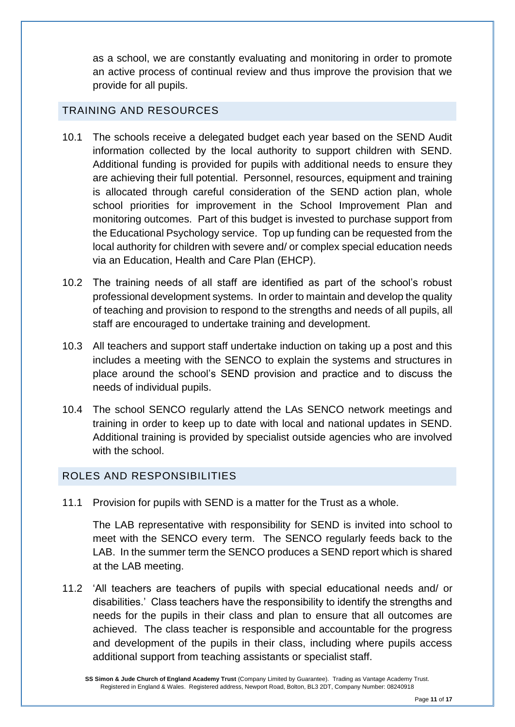as a school, we are constantly evaluating and monitoring in order to promote an active process of continual review and thus improve the provision that we provide for all pupils.

#### TRAINING AND RESOURCES

- 10.1 The schools receive a delegated budget each year based on the SEND Audit information collected by the local authority to support children with SEND. Additional funding is provided for pupils with additional needs to ensure they are achieving their full potential. Personnel, resources, equipment and training is allocated through careful consideration of the SEND action plan, whole school priorities for improvement in the School Improvement Plan and monitoring outcomes. Part of this budget is invested to purchase support from the Educational Psychology service. Top up funding can be requested from the local authority for children with severe and/ or complex special education needs via an Education, Health and Care Plan (EHCP).
- 10.2 The training needs of all staff are identified as part of the school's robust professional development systems. In order to maintain and develop the quality of teaching and provision to respond to the strengths and needs of all pupils, all staff are encouraged to undertake training and development.
- 10.3 All teachers and support staff undertake induction on taking up a post and this includes a meeting with the SENCO to explain the systems and structures in place around the school's SEND provision and practice and to discuss the needs of individual pupils.
- 10.4 The school SENCO regularly attend the LAs SENCO network meetings and training in order to keep up to date with local and national updates in SEND. Additional training is provided by specialist outside agencies who are involved with the school.

## ROLES AND RESPONSIBILITIES

11.1 Provision for pupils with SEND is a matter for the Trust as a whole.

The LAB representative with responsibility for SEND is invited into school to meet with the SENCO every term. The SENCO regularly feeds back to the LAB. In the summer term the SENCO produces a SEND report which is shared at the LAB meeting.

11.2 'All teachers are teachers of pupils with special educational needs and/ or disabilities.' Class teachers have the responsibility to identify the strengths and needs for the pupils in their class and plan to ensure that all outcomes are achieved. The class teacher is responsible and accountable for the progress and development of the pupils in their class, including where pupils access additional support from teaching assistants or specialist staff.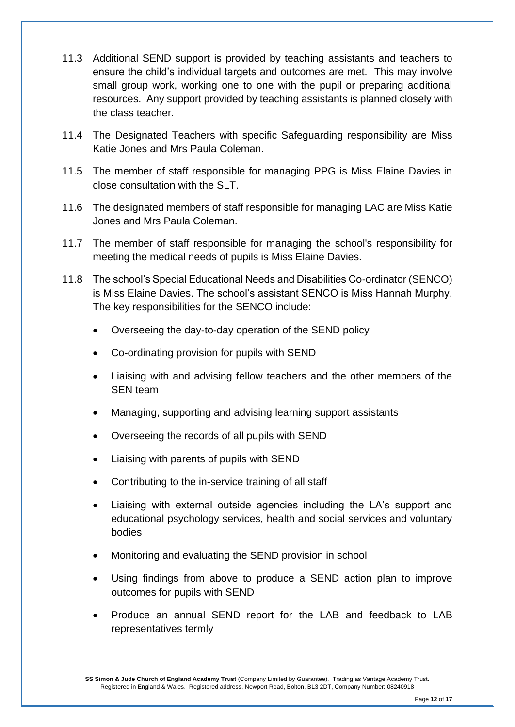- 11.3 Additional SEND support is provided by teaching assistants and teachers to ensure the child's individual targets and outcomes are met. This may involve small group work, working one to one with the pupil or preparing additional resources. Any support provided by teaching assistants is planned closely with the class teacher.
- 11.4 The Designated Teachers with specific Safeguarding responsibility are Miss Katie Jones and Mrs Paula Coleman.
- 11.5 The member of staff responsible for managing PPG is Miss Elaine Davies in close consultation with the SLT.
- 11.6 The designated members of staff responsible for managing LAC are Miss Katie Jones and Mrs Paula Coleman.
- 11.7 The member of staff responsible for managing the school's responsibility for meeting the medical needs of pupils is Miss Elaine Davies.
- 11.8 The school's Special Educational Needs and Disabilities Co-ordinator (SENCO) is Miss Elaine Davies. The school's assistant SENCO is Miss Hannah Murphy. The key responsibilities for the SENCO include:
	- Overseeing the day-to-day operation of the SEND policy
	- Co-ordinating provision for pupils with SEND
	- Liaising with and advising fellow teachers and the other members of the SEN team
	- Managing, supporting and advising learning support assistants
	- Overseeing the records of all pupils with SEND
	- Liaising with parents of pupils with SEND
	- Contributing to the in-service training of all staff
	- Liaising with external outside agencies including the LA's support and educational psychology services, health and social services and voluntary bodies
	- Monitoring and evaluating the SEND provision in school
	- Using findings from above to produce a SEND action plan to improve outcomes for pupils with SEND
	- Produce an annual SEND report for the LAB and feedback to LAB representatives termly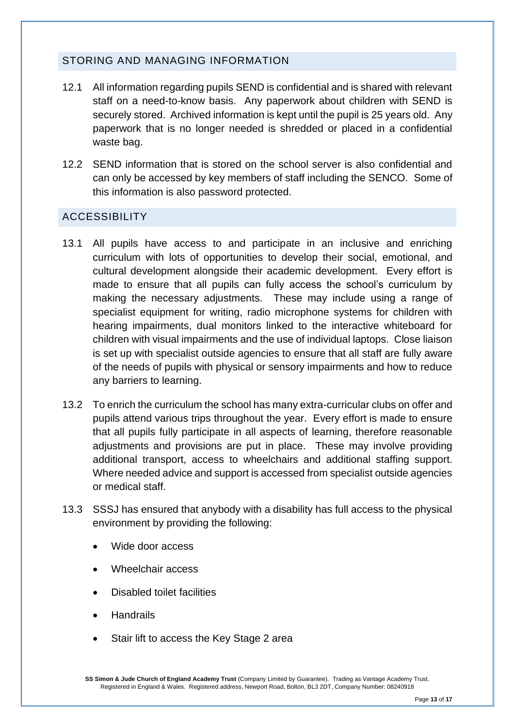## STORING AND MANAGING INFORMATION

- 12.1 All information regarding pupils SEND is confidential and is shared with relevant staff on a need-to-know basis. Any paperwork about children with SEND is securely stored. Archived information is kept until the pupil is 25 years old. Any paperwork that is no longer needed is shredded or placed in a confidential waste bag.
- 12.2 SEND information that is stored on the school server is also confidential and can only be accessed by key members of staff including the SENCO. Some of this information is also password protected.

## ACCESSIBILITY

- 13.1 All pupils have access to and participate in an inclusive and enriching curriculum with lots of opportunities to develop their social, emotional, and cultural development alongside their academic development. Every effort is made to ensure that all pupils can fully access the school's curriculum by making the necessary adjustments. These may include using a range of specialist equipment for writing, radio microphone systems for children with hearing impairments, dual monitors linked to the interactive whiteboard for children with visual impairments and the use of individual laptops. Close liaison is set up with specialist outside agencies to ensure that all staff are fully aware of the needs of pupils with physical or sensory impairments and how to reduce any barriers to learning.
- 13.2 To enrich the curriculum the school has many extra-curricular clubs on offer and pupils attend various trips throughout the year. Every effort is made to ensure that all pupils fully participate in all aspects of learning, therefore reasonable adjustments and provisions are put in place. These may involve providing additional transport, access to wheelchairs and additional staffing support. Where needed advice and support is accessed from specialist outside agencies or medical staff.
- 13.3 SSSJ has ensured that anybody with a disability has full access to the physical environment by providing the following:
	- Wide door access
	- Wheelchair access
	- Disabled toilet facilities
	- Handrails
	- Stair lift to access the Key Stage 2 area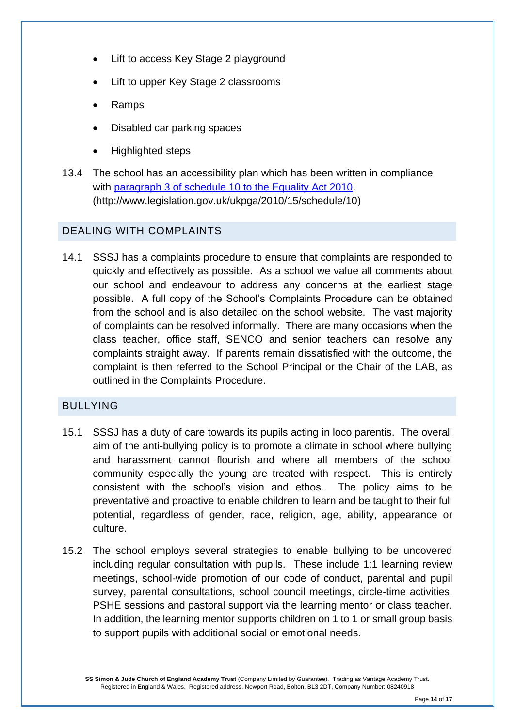- Lift to access Key Stage 2 playground
- Lift to upper Key Stage 2 classrooms
- Ramps
- Disabled car parking spaces
- Highlighted steps
- 13.4 The school has an accessibility plan which has been written in compliance with [paragraph 3 of schedule 10 to the Equality Act 2010.](http://www.legislation.gov.uk/ukpga/2010/15/schedule/10) (http://www.legislation.gov.uk/ukpga/2010/15/schedule/10)

## DEALING WITH COMPLAINTS

14.1 SSSJ has a complaints procedure to ensure that complaints are responded to quickly and effectively as possible. As a school we value all comments about our school and endeavour to address any concerns at the earliest stage possible. A full copy of the School's Complaints Procedure can be obtained from the school and is also detailed on the school website. The vast majority of complaints can be resolved informally. There are many occasions when the class teacher, office staff, SENCO and senior teachers can resolve any complaints straight away. If parents remain dissatisfied with the outcome, the complaint is then referred to the School Principal or the Chair of the LAB, as outlined in the Complaints Procedure.

#### BULLYING

- 15.1 SSSJ has a duty of care towards its pupils acting in loco parentis. The overall aim of the anti-bullying policy is to promote a climate in school where bullying and harassment cannot flourish and where all members of the school community especially the young are treated with respect. This is entirely consistent with the school's vision and ethos. The policy aims to be preventative and proactive to enable children to learn and be taught to their full potential, regardless of gender, race, religion, age, ability, appearance or culture.
- 15.2 The school employs several strategies to enable bullying to be uncovered including regular consultation with pupils. These include 1:1 learning review meetings, school-wide promotion of our code of conduct, parental and pupil survey, parental consultations, school council meetings, circle-time activities, PSHE sessions and pastoral support via the learning mentor or class teacher. In addition, the learning mentor supports children on 1 to 1 or small group basis to support pupils with additional social or emotional needs.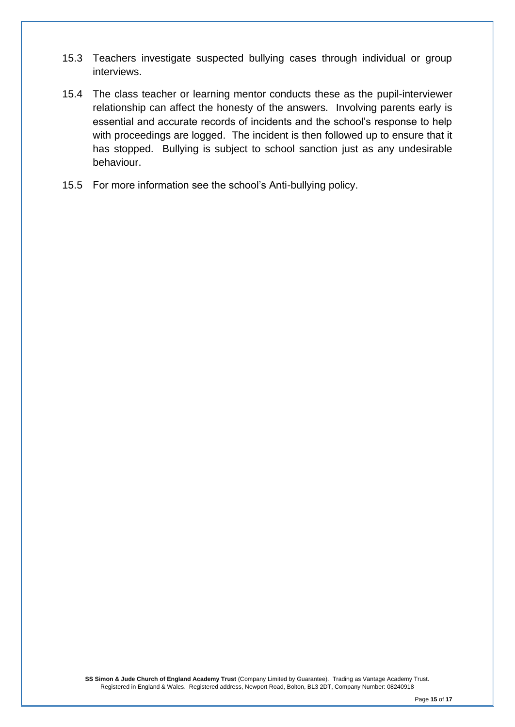- 15.3 Teachers investigate suspected bullying cases through individual or group interviews.
- 15.4 The class teacher or learning mentor conducts these as the pupil-interviewer relationship can affect the honesty of the answers. Involving parents early is essential and accurate records of incidents and the school's response to help with proceedings are logged. The incident is then followed up to ensure that it has stopped. Bullying is subject to school sanction just as any undesirable behaviour.
- 15.5 For more information see the school's Anti-bullying policy.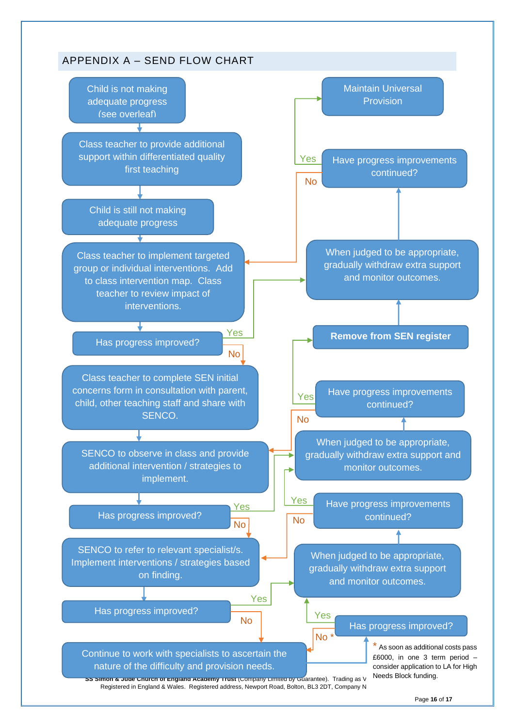